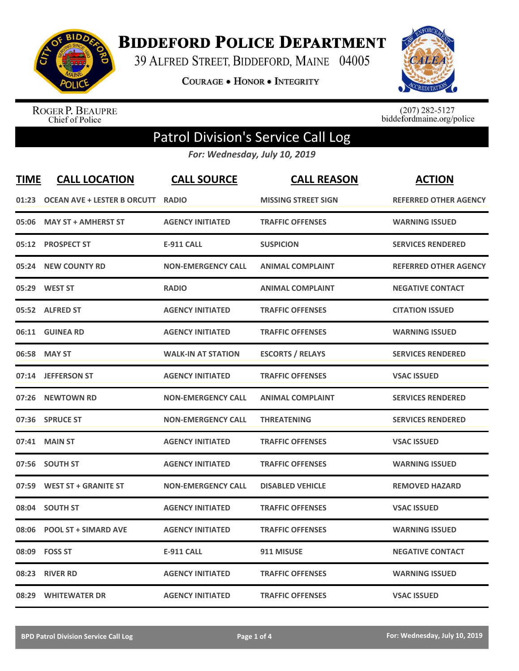

**BIDDEFORD POLICE DEPARTMENT** 

39 ALFRED STREET, BIDDEFORD, MAINE 04005

**COURAGE . HONOR . INTEGRITY** 



ROGER P. BEAUPRE<br>Chief of Police

 $(207)$  282-5127<br>biddefordmaine.org/police

## Patrol Division's Service Call Log

*For: Wednesday, July 10, 2019*

| <b>TIME</b> | <b>CALL LOCATION</b>               | <b>CALL SOURCE</b>        | <b>CALL REASON</b>         | <b>ACTION</b>                |
|-------------|------------------------------------|---------------------------|----------------------------|------------------------------|
| 01:23       | <b>OCEAN AVE + LESTER B ORCUTT</b> | <b>RADIO</b>              | <b>MISSING STREET SIGN</b> | <b>REFERRED OTHER AGENCY</b> |
| 05:06       | <b>MAY ST + AMHERST ST</b>         | <b>AGENCY INITIATED</b>   | <b>TRAFFIC OFFENSES</b>    | <b>WARNING ISSUED</b>        |
| 05:12       | <b>PROSPECT ST</b>                 | <b>E-911 CALL</b>         | <b>SUSPICION</b>           | <b>SERVICES RENDERED</b>     |
| 05:24       | <b>NEW COUNTY RD</b>               | <b>NON-EMERGENCY CALL</b> | <b>ANIMAL COMPLAINT</b>    | <b>REFERRED OTHER AGENCY</b> |
|             | 05:29 WEST ST                      | <b>RADIO</b>              | <b>ANIMAL COMPLAINT</b>    | <b>NEGATIVE CONTACT</b>      |
|             | 05:52 ALFRED ST                    | <b>AGENCY INITIATED</b>   | <b>TRAFFIC OFFENSES</b>    | <b>CITATION ISSUED</b>       |
|             | 06:11 GUINEA RD                    | <b>AGENCY INITIATED</b>   | <b>TRAFFIC OFFENSES</b>    | <b>WARNING ISSUED</b>        |
|             | 06:58 MAY ST                       | <b>WALK-IN AT STATION</b> | <b>ESCORTS / RELAYS</b>    | <b>SERVICES RENDERED</b>     |
|             | 07:14 JEFFERSON ST                 | <b>AGENCY INITIATED</b>   | <b>TRAFFIC OFFENSES</b>    | <b>VSAC ISSUED</b>           |
| 07:26       | <b>NEWTOWN RD</b>                  | <b>NON-EMERGENCY CALL</b> | <b>ANIMAL COMPLAINT</b>    | <b>SERVICES RENDERED</b>     |
|             | 07:36 SPRUCE ST                    | <b>NON-EMERGENCY CALL</b> | <b>THREATENING</b>         | <b>SERVICES RENDERED</b>     |
| 07:41       | <b>MAIN ST</b>                     | <b>AGENCY INITIATED</b>   | <b>TRAFFIC OFFENSES</b>    | <b>VSAC ISSUED</b>           |
|             | 07:56 SOUTH ST                     | <b>AGENCY INITIATED</b>   | <b>TRAFFIC OFFENSES</b>    | <b>WARNING ISSUED</b>        |
|             | 07:59 WEST ST + GRANITE ST         | <b>NON-EMERGENCY CALL</b> | <b>DISABLED VEHICLE</b>    | <b>REMOVED HAZARD</b>        |
|             | 08:04 SOUTH ST                     | <b>AGENCY INITIATED</b>   | <b>TRAFFIC OFFENSES</b>    | <b>VSAC ISSUED</b>           |
| 08:06       | <b>POOL ST + SIMARD AVE</b>        | <b>AGENCY INITIATED</b>   | <b>TRAFFIC OFFENSES</b>    | <b>WARNING ISSUED</b>        |
| 08:09       | <b>FOSS ST</b>                     | <b>E-911 CALL</b>         | 911 MISUSE                 | <b>NEGATIVE CONTACT</b>      |
| 08:23       | <b>RIVER RD</b>                    | <b>AGENCY INITIATED</b>   | <b>TRAFFIC OFFENSES</b>    | <b>WARNING ISSUED</b>        |
|             | 08:29 WHITEWATER DR                | <b>AGENCY INITIATED</b>   | <b>TRAFFIC OFFENSES</b>    | <b>VSAC ISSUED</b>           |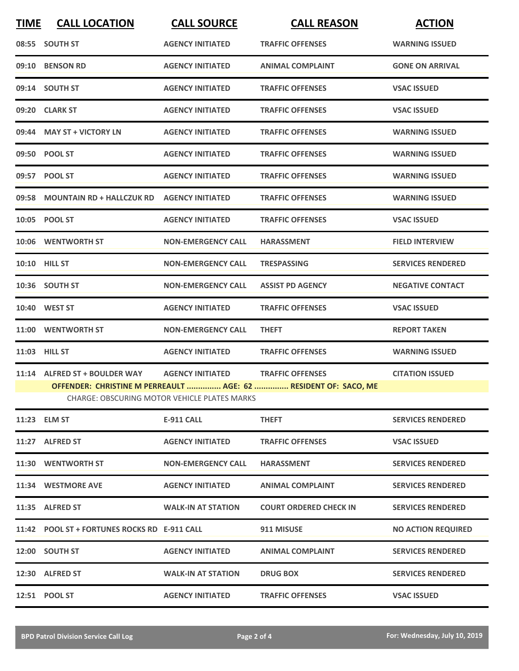| <b>TIME</b> | <b>CALL LOCATION</b>                             | <b>CALL SOURCE</b>                                  | <b>CALL REASON</b>                                              | <b>ACTION</b>             |
|-------------|--------------------------------------------------|-----------------------------------------------------|-----------------------------------------------------------------|---------------------------|
|             | 08:55 SOUTH ST                                   | <b>AGENCY INITIATED</b>                             | <b>TRAFFIC OFFENSES</b>                                         | <b>WARNING ISSUED</b>     |
|             | 09:10 BENSON RD                                  | <b>AGENCY INITIATED</b>                             | <b>ANIMAL COMPLAINT</b>                                         | <b>GONE ON ARRIVAL</b>    |
|             | 09:14 SOUTH ST                                   | <b>AGENCY INITIATED</b>                             | <b>TRAFFIC OFFENSES</b>                                         | <b>VSAC ISSUED</b>        |
|             | 09:20 CLARK ST                                   | <b>AGENCY INITIATED</b>                             | <b>TRAFFIC OFFENSES</b>                                         | <b>VSAC ISSUED</b>        |
|             | 09:44 MAY ST + VICTORY LN                        | <b>AGENCY INITIATED</b>                             | <b>TRAFFIC OFFENSES</b>                                         | <b>WARNING ISSUED</b>     |
|             | 09:50 POOL ST                                    | <b>AGENCY INITIATED</b>                             | <b>TRAFFIC OFFENSES</b>                                         | <b>WARNING ISSUED</b>     |
|             | 09:57 POOL ST                                    | <b>AGENCY INITIATED</b>                             | <b>TRAFFIC OFFENSES</b>                                         | <b>WARNING ISSUED</b>     |
|             | 09:58 MOUNTAIN RD + HALLCZUK RD AGENCY INITIATED |                                                     | <b>TRAFFIC OFFENSES</b>                                         | <b>WARNING ISSUED</b>     |
|             | 10:05 POOL ST                                    | <b>AGENCY INITIATED</b>                             | <b>TRAFFIC OFFENSES</b>                                         | <b>VSAC ISSUED</b>        |
|             | 10:06 WENTWORTH ST                               | <b>NON-EMERGENCY CALL</b>                           | <b>HARASSMENT</b>                                               | <b>FIELD INTERVIEW</b>    |
|             | <b>10:10 HILL ST</b>                             | <b>NON-EMERGENCY CALL</b>                           | <b>TRESPASSING</b>                                              | <b>SERVICES RENDERED</b>  |
|             | 10:36 SOUTH ST                                   | <b>NON-EMERGENCY CALL</b>                           | <b>ASSIST PD AGENCY</b>                                         | <b>NEGATIVE CONTACT</b>   |
|             | 10:40 WEST ST                                    | <b>AGENCY INITIATED</b>                             | <b>TRAFFIC OFFENSES</b>                                         | <b>VSAC ISSUED</b>        |
|             | 11:00 WENTWORTH ST                               | <b>NON-EMERGENCY CALL</b>                           | <b>THEFT</b>                                                    | <b>REPORT TAKEN</b>       |
|             | 11:03 HILL ST                                    | <b>AGENCY INITIATED</b>                             | <b>TRAFFIC OFFENSES</b>                                         | <b>WARNING ISSUED</b>     |
|             | 11:14 ALFRED ST + BOULDER WAY                    | <b>AGENCY INITIATED</b>                             | <b>TRAFFIC OFFENSES</b>                                         | <b>CITATION ISSUED</b>    |
|             |                                                  | <b>CHARGE: OBSCURING MOTOR VEHICLE PLATES MARKS</b> | OFFENDER: CHRISTINE M PERREAULT  AGE: 62  RESIDENT OF: SACO, ME |                           |
|             |                                                  |                                                     |                                                                 |                           |
|             | 11:23 ELM ST                                     | <b>E-911 CALL</b>                                   | <b>THEFT</b>                                                    | <b>SERVICES RENDERED</b>  |
|             | 11:27 ALFRED ST                                  | <b>AGENCY INITIATED</b>                             | <b>TRAFFIC OFFENSES</b>                                         | <b>VSAC ISSUED</b>        |
|             | 11:30 WENTWORTH ST                               | <b>NON-EMERGENCY CALL</b>                           | <b>HARASSMENT</b>                                               | <b>SERVICES RENDERED</b>  |
|             | 11:34 WESTMORE AVE                               | <b>AGENCY INITIATED</b>                             | <b>ANIMAL COMPLAINT</b>                                         | <b>SERVICES RENDERED</b>  |
|             | 11:35 ALFRED ST                                  | <b>WALK-IN AT STATION</b>                           | <b>COURT ORDERED CHECK IN</b>                                   | <b>SERVICES RENDERED</b>  |
|             | 11:42 POOL ST + FORTUNES ROCKS RD E-911 CALL     |                                                     | 911 MISUSE                                                      | <b>NO ACTION REQUIRED</b> |
|             | 12:00 SOUTH ST                                   | <b>AGENCY INITIATED</b>                             | <b>ANIMAL COMPLAINT</b>                                         | <b>SERVICES RENDERED</b>  |
|             | 12:30 ALFRED ST                                  | <b>WALK-IN AT STATION</b>                           | <b>DRUG BOX</b>                                                 | <b>SERVICES RENDERED</b>  |
|             | 12:51 POOL ST                                    | <b>AGENCY INITIATED</b>                             | <b>TRAFFIC OFFENSES</b>                                         | <b>VSAC ISSUED</b>        |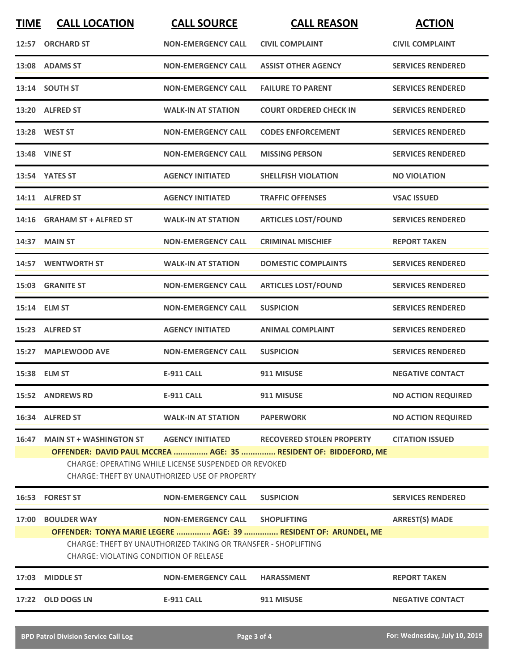| <b>TIME</b>                                                                                                                                                                      | <b>CALL LOCATION</b>                          | <b>CALL SOURCE</b>                                             | <b>CALL REASON</b>                                              | <b>ACTION</b>             |  |
|----------------------------------------------------------------------------------------------------------------------------------------------------------------------------------|-----------------------------------------------|----------------------------------------------------------------|-----------------------------------------------------------------|---------------------------|--|
|                                                                                                                                                                                  | 12:57 ORCHARD ST                              | <b>NON-EMERGENCY CALL</b>                                      | <b>CIVIL COMPLAINT</b>                                          | <b>CIVIL COMPLAINT</b>    |  |
|                                                                                                                                                                                  | 13:08 ADAMS ST                                | <b>NON-EMERGENCY CALL</b>                                      | <b>ASSIST OTHER AGENCY</b>                                      | <b>SERVICES RENDERED</b>  |  |
|                                                                                                                                                                                  | 13:14 SOUTH ST                                | <b>NON-EMERGENCY CALL</b>                                      | <b>FAILURE TO PARENT</b>                                        | <b>SERVICES RENDERED</b>  |  |
|                                                                                                                                                                                  | 13:20 ALFRED ST                               | <b>WALK-IN AT STATION</b>                                      | <b>COURT ORDERED CHECK IN</b>                                   | <b>SERVICES RENDERED</b>  |  |
|                                                                                                                                                                                  | 13:28 WEST ST                                 | <b>NON-EMERGENCY CALL</b>                                      | <b>CODES ENFORCEMENT</b>                                        | <b>SERVICES RENDERED</b>  |  |
|                                                                                                                                                                                  | <b>13:48 VINE ST</b>                          | <b>NON-EMERGENCY CALL</b>                                      | <b>MISSING PERSON</b>                                           | <b>SERVICES RENDERED</b>  |  |
|                                                                                                                                                                                  | 13:54 YATES ST                                | <b>AGENCY INITIATED</b>                                        | <b>SHELLFISH VIOLATION</b>                                      | <b>NO VIOLATION</b>       |  |
|                                                                                                                                                                                  | 14:11 ALFRED ST                               | <b>AGENCY INITIATED</b>                                        | <b>TRAFFIC OFFENSES</b>                                         | <b>VSAC ISSUED</b>        |  |
| 14:16                                                                                                                                                                            | <b>GRAHAM ST + ALFRED ST</b>                  | <b>WALK-IN AT STATION</b>                                      | <b>ARTICLES LOST/FOUND</b>                                      | <b>SERVICES RENDERED</b>  |  |
|                                                                                                                                                                                  | 14:37 MAIN ST                                 | <b>NON-EMERGENCY CALL</b>                                      | <b>CRIMINAL MISCHIEF</b>                                        | <b>REPORT TAKEN</b>       |  |
|                                                                                                                                                                                  | 14:57 WENTWORTH ST                            | <b>WALK-IN AT STATION</b>                                      | <b>DOMESTIC COMPLAINTS</b>                                      | <b>SERVICES RENDERED</b>  |  |
| 15:03                                                                                                                                                                            | <b>GRANITE ST</b>                             | <b>NON-EMERGENCY CALL</b>                                      | <b>ARTICLES LOST/FOUND</b>                                      | <b>SERVICES RENDERED</b>  |  |
|                                                                                                                                                                                  | 15:14 ELM ST                                  | <b>NON-EMERGENCY CALL</b>                                      | <b>SUSPICION</b>                                                | <b>SERVICES RENDERED</b>  |  |
| 15:23                                                                                                                                                                            | <b>ALFRED ST</b>                              | <b>AGENCY INITIATED</b>                                        | <b>ANIMAL COMPLAINT</b>                                         | <b>SERVICES RENDERED</b>  |  |
| 15:27                                                                                                                                                                            | <b>MAPLEWOOD AVE</b>                          | <b>NON-EMERGENCY CALL</b>                                      | <b>SUSPICION</b>                                                | <b>SERVICES RENDERED</b>  |  |
|                                                                                                                                                                                  | 15:38 ELM ST                                  | <b>E-911 CALL</b>                                              | 911 MISUSE                                                      | <b>NEGATIVE CONTACT</b>   |  |
|                                                                                                                                                                                  | 15:52 ANDREWS RD                              | <b>E-911 CALL</b>                                              | 911 MISUSE                                                      | <b>NO ACTION REQUIRED</b> |  |
|                                                                                                                                                                                  | 16:34 ALFRED ST                               | <b>WALK-IN AT STATION</b>                                      | <b>PAPERWORK</b>                                                | <b>NO ACTION REQUIRED</b> |  |
|                                                                                                                                                                                  | 16:47 MAIN ST + WASHINGTON ST                 | <b>AGENCY INITIATED</b>                                        | <b>RECOVERED STOLEN PROPERTY</b>                                | <b>CITATION ISSUED</b>    |  |
| OFFENDER: DAVID PAUL MCCREA  AGE: 35  RESIDENT OF: BIDDEFORD, ME<br>CHARGE: OPERATING WHILE LICENSE SUSPENDED OR REVOKED<br><b>CHARGE: THEFT BY UNAUTHORIZED USE OF PROPERTY</b> |                                               |                                                                |                                                                 |                           |  |
|                                                                                                                                                                                  | 16:53 FOREST ST                               | <b>NON-EMERGENCY CALL</b>                                      | <b>SUSPICION</b>                                                | <b>SERVICES RENDERED</b>  |  |
|                                                                                                                                                                                  | 17:00 BOULDER WAY                             | NON-EMERGENCY CALL SHOPLIFTING                                 |                                                                 | <b>ARREST(S) MADE</b>     |  |
|                                                                                                                                                                                  | <b>CHARGE: VIOLATING CONDITION OF RELEASE</b> | CHARGE: THEFT BY UNAUTHORIZED TAKING OR TRANSFER - SHOPLIFTING | OFFENDER: TONYA MARIE LEGERE  AGE: 39  RESIDENT OF: ARUNDEL, ME |                           |  |
|                                                                                                                                                                                  | 17:03 MIDDLE ST                               | <b>NON-EMERGENCY CALL</b>                                      | <b>HARASSMENT</b>                                               | <b>REPORT TAKEN</b>       |  |
|                                                                                                                                                                                  | 17:22 OLD DOGS LN                             | E-911 CALL                                                     | 911 MISUSE                                                      | <b>NEGATIVE CONTACT</b>   |  |